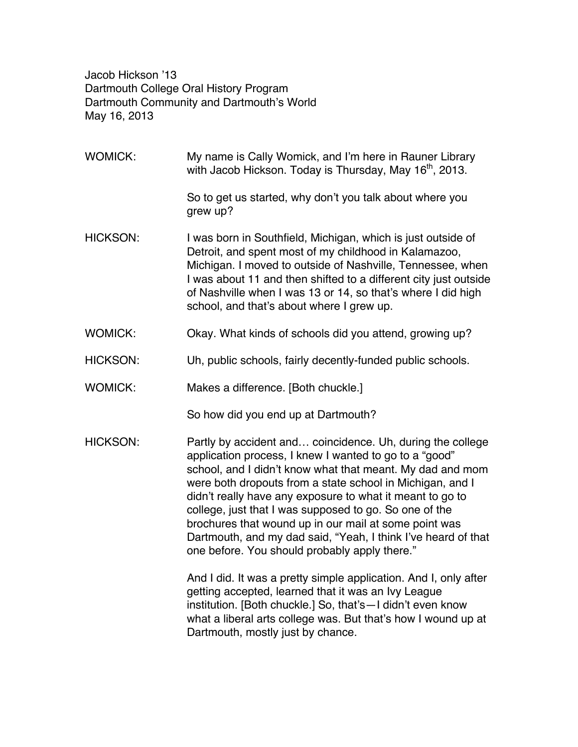Jacob Hickson '13 Dartmouth College Oral History Program Dartmouth Community and Dartmouth's World May 16, 2013

WOMICK: My name is Cally Womick, and I'm here in Rauner Library with Jacob Hickson. Today is Thursday, May  $16<sup>th</sup>$ , 2013. So to get us started, why don't you talk about where you grew up? HICKSON: I was born in Southfield, Michigan, which is just outside of Detroit, and spent most of my childhood in Kalamazoo, Michigan. I moved to outside of Nashville, Tennessee, when I was about 11 and then shifted to a different city just outside of Nashville when I was 13 or 14, so that's where I did high school, and that's about where I grew up. WOMICK: Okay. What kinds of schools did you attend, growing up? HICKSON: Uh, public schools, fairly decently-funded public schools. WOMICK: Makes a difference. [Both chuckle.] So how did you end up at Dartmouth? HICKSON: Partly by accident and... coincidence. Uh, during the college application process, I knew I wanted to go to a "good" school, and I didn't know what that meant. My dad and mom were both dropouts from a state school in Michigan, and I didn't really have any exposure to what it meant to go to college, just that I was supposed to go. So one of the brochures that wound up in our mail at some point was Dartmouth, and my dad said, "Yeah, I think I've heard of that one before. You should probably apply there." And I did. It was a pretty simple application. And I, only after getting accepted, learned that it was an Ivy League institution. [Both chuckle.] So, that's—I didn't even know what a liberal arts college was. But that's how I wound up at Dartmouth, mostly just by chance.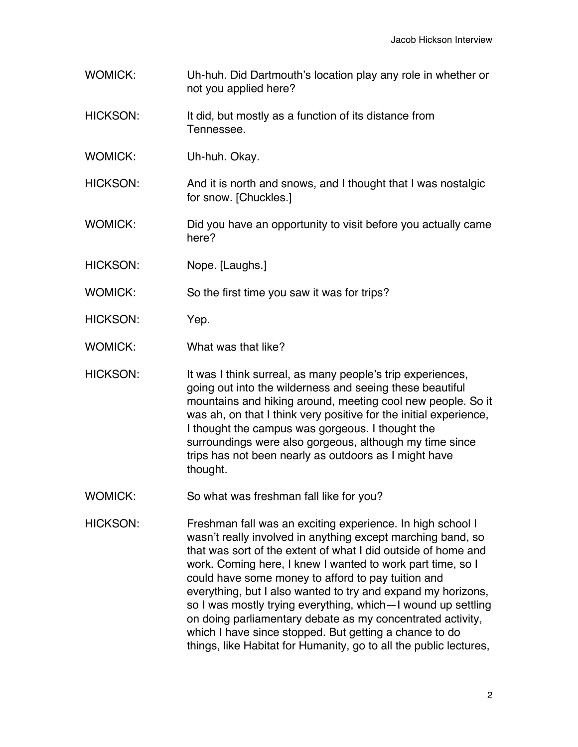- WOMICK: Uh-huh. Did Dartmouth's location play any role in whether or not you applied here?
- HICKSON: It did, but mostly as a function of its distance from Tennessee.
- WOMICK: Uh-huh. Okay.
- HICKSON: And it is north and snows, and I thought that I was nostalgic for snow. [Chuckles.]
- WOMICK: Did you have an opportunity to visit before you actually came here?
- HICKSON: Nope. [Laughs.]

WOMICK: So the first time you saw it was for trips?

- HICKSON: Yep.
- WOMICK: What was that like?

HICKSON: It was I think surreal, as many people's trip experiences, going out into the wilderness and seeing these beautiful mountains and hiking around, meeting cool new people. So it was ah, on that I think very positive for the initial experience, I thought the campus was gorgeous. I thought the surroundings were also gorgeous, although my time since trips has not been nearly as outdoors as I might have thought.

- WOMICK: So what was freshman fall like for you?
- HICKSON: Freshman fall was an exciting experience. In high school I wasn't really involved in anything except marching band, so that was sort of the extent of what I did outside of home and work. Coming here, I knew I wanted to work part time, so I could have some money to afford to pay tuition and everything, but I also wanted to try and expand my horizons, so I was mostly trying everything, which—I wound up settling on doing parliamentary debate as my concentrated activity, which I have since stopped. But getting a chance to do things, like Habitat for Humanity, go to all the public lectures,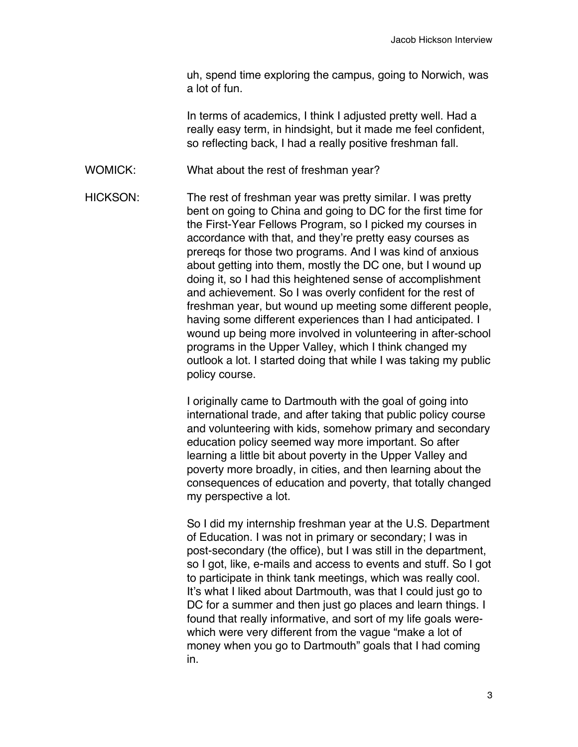uh, spend time exploring the campus, going to Norwich, was a lot of fun.

In terms of academics, I think I adjusted pretty well. Had a really easy term, in hindsight, but it made me feel confident, so reflecting back, I had a really positive freshman fall.

WOMICK: What about the rest of freshman year?

HICKSON: The rest of freshman year was pretty similar. I was pretty bent on going to China and going to DC for the first time for the First-Year Fellows Program, so I picked my courses in accordance with that, and they're pretty easy courses as prereqs for those two programs. And I was kind of anxious about getting into them, mostly the DC one, but I wound up doing it, so I had this heightened sense of accomplishment and achievement. So I was overly confident for the rest of freshman year, but wound up meeting some different people, having some different experiences than I had anticipated. I wound up being more involved in volunteering in after-school programs in the Upper Valley, which I think changed my outlook a lot. I started doing that while I was taking my public policy course.

> I originally came to Dartmouth with the goal of going into international trade, and after taking that public policy course and volunteering with kids, somehow primary and secondary education policy seemed way more important. So after learning a little bit about poverty in the Upper Valley and poverty more broadly, in cities, and then learning about the consequences of education and poverty, that totally changed my perspective a lot.

> So I did my internship freshman year at the U.S. Department of Education. I was not in primary or secondary; I was in post-secondary (the office), but I was still in the department, so I got, like, e-mails and access to events and stuff. So I got to participate in think tank meetings, which was really cool. It's what I liked about Dartmouth, was that I could just go to DC for a summer and then just go places and learn things. I found that really informative, and sort of my life goals werewhich were very different from the vague "make a lot of money when you go to Dartmouth" goals that I had coming in.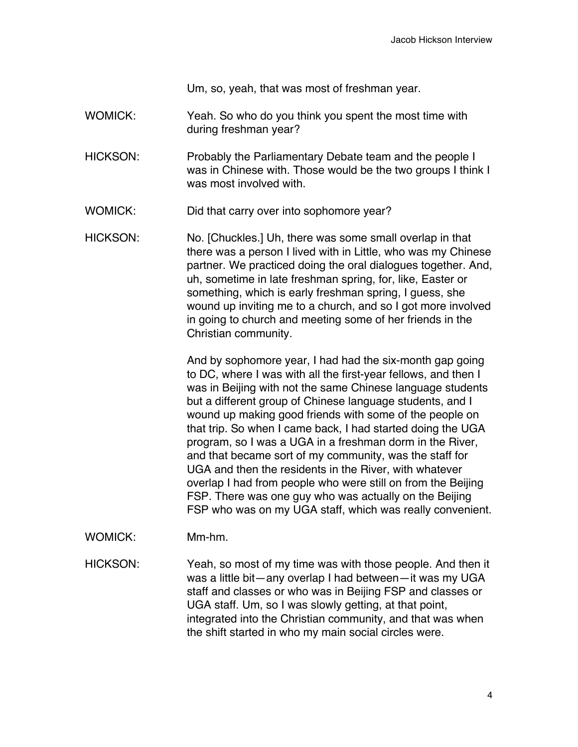Um, so, yeah, that was most of freshman year.

- WOMICK: Yeah. So who do you think you spent the most time with during freshman year?
- HICKSON: Probably the Parliamentary Debate team and the people I was in Chinese with. Those would be the two groups I think I was most involved with.
- WOMICK: Did that carry over into sophomore year?
- HICKSON: No. [Chuckles.] Uh, there was some small overlap in that there was a person I lived with in Little, who was my Chinese partner. We practiced doing the oral dialogues together. And, uh, sometime in late freshman spring, for, like, Easter or something, which is early freshman spring, I guess, she wound up inviting me to a church, and so I got more involved in going to church and meeting some of her friends in the Christian community.

And by sophomore year, I had had the six-month gap going to DC, where I was with all the first-year fellows, and then I was in Beijing with not the same Chinese language students but a different group of Chinese language students, and I wound up making good friends with some of the people on that trip. So when I came back, I had started doing the UGA program, so I was a UGA in a freshman dorm in the River, and that became sort of my community, was the staff for UGA and then the residents in the River, with whatever overlap I had from people who were still on from the Beijing FSP. There was one guy who was actually on the Beijing FSP who was on my UGA staff, which was really convenient.

WOMICK: Mm-hm.

HICKSON: Yeah, so most of my time was with those people. And then it was a little bit—any overlap I had between—it was my UGA staff and classes or who was in Beijing FSP and classes or UGA staff. Um, so I was slowly getting, at that point, integrated into the Christian community, and that was when the shift started in who my main social circles were.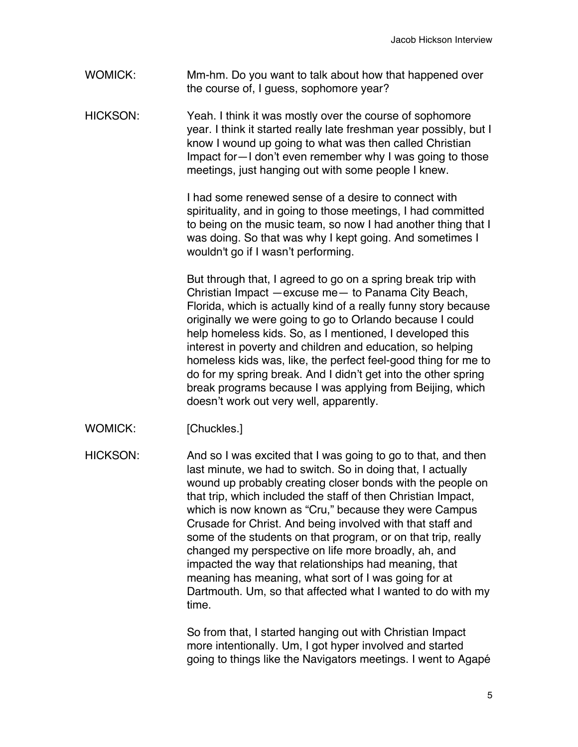WOMICK: Mm-hm. Do you want to talk about how that happened over the course of, I guess, sophomore year?

HICKSON: Yeah. I think it was mostly over the course of sophomore year. I think it started really late freshman year possibly, but I know I wound up going to what was then called Christian Impact for—I don't even remember why I was going to those meetings, just hanging out with some people I knew.

> I had some renewed sense of a desire to connect with spirituality, and in going to those meetings, I had committed to being on the music team, so now I had another thing that I was doing. So that was why I kept going. And sometimes I wouldn't go if I wasn't performing.

> But through that, I agreed to go on a spring break trip with Christian Impact —excuse me— to Panama City Beach, Florida, which is actually kind of a really funny story because originally we were going to go to Orlando because I could help homeless kids. So, as I mentioned, I developed this interest in poverty and children and education, so helping homeless kids was, like, the perfect feel-good thing for me to do for my spring break. And I didn't get into the other spring break programs because I was applying from Beijing, which doesn't work out very well, apparently.

WOMICK: [Chuckles.]

HICKSON: And so I was excited that I was going to go to that, and then last minute, we had to switch. So in doing that, I actually wound up probably creating closer bonds with the people on that trip, which included the staff of then Christian Impact, which is now known as "Cru," because they were Campus Crusade for Christ. And being involved with that staff and some of the students on that program, or on that trip, really changed my perspective on life more broadly, ah, and impacted the way that relationships had meaning, that meaning has meaning, what sort of I was going for at Dartmouth. Um, so that affected what I wanted to do with my time.

> So from that, I started hanging out with Christian Impact more intentionally. Um, I got hyper involved and started going to things like the Navigators meetings. I went to Agapé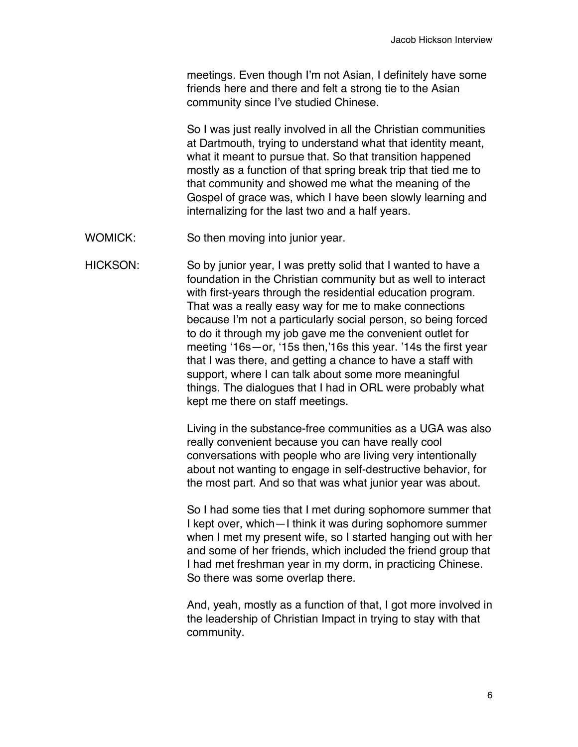meetings. Even though I'm not Asian, I definitely have some friends here and there and felt a strong tie to the Asian community since I've studied Chinese.

So I was just really involved in all the Christian communities at Dartmouth, trying to understand what that identity meant, what it meant to pursue that. So that transition happened mostly as a function of that spring break trip that tied me to that community and showed me what the meaning of the Gospel of grace was, which I have been slowly learning and internalizing for the last two and a half years.

WOMICK: So then moving into junior year.

HICKSON: So by junior year, I was pretty solid that I wanted to have a foundation in the Christian community but as well to interact with first-years through the residential education program. That was a really easy way for me to make connections because I'm not a particularly social person, so being forced to do it through my job gave me the convenient outlet for meeting '16s—or, '15s then,'16s this year. '14s the first year that I was there, and getting a chance to have a staff with support, where I can talk about some more meaningful things. The dialogues that I had in ORL were probably what kept me there on staff meetings.

> Living in the substance-free communities as a UGA was also really convenient because you can have really cool conversations with people who are living very intentionally about not wanting to engage in self-destructive behavior, for the most part. And so that was what junior year was about.

> So I had some ties that I met during sophomore summer that I kept over, which—I think it was during sophomore summer when I met my present wife, so I started hanging out with her and some of her friends, which included the friend group that I had met freshman year in my dorm, in practicing Chinese. So there was some overlap there.

> And, yeah, mostly as a function of that, I got more involved in the leadership of Christian Impact in trying to stay with that community.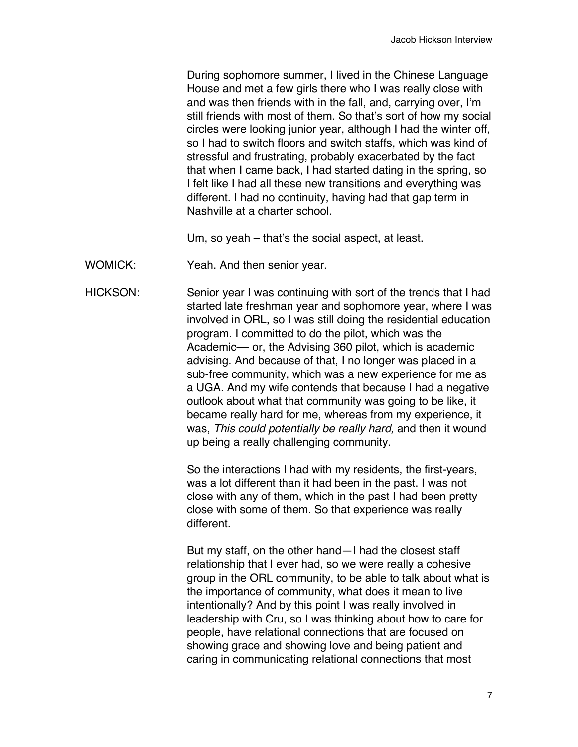During sophomore summer, I lived in the Chinese Language House and met a few girls there who I was really close with and was then friends with in the fall, and, carrying over, I'm still friends with most of them. So that's sort of how my social circles were looking junior year, although I had the winter off, so I had to switch floors and switch staffs, which was kind of stressful and frustrating, probably exacerbated by the fact that when I came back, I had started dating in the spring, so I felt like I had all these new transitions and everything was different. I had no continuity, having had that gap term in Nashville at a charter school.

Um, so yeah – that's the social aspect, at least.

WOMICK: Yeah. And then senior year.

HICKSON: Senior year I was continuing with sort of the trends that I had started late freshman year and sophomore year, where I was involved in ORL, so I was still doing the residential education program. I committed to do the pilot, which was the Academic- or, the Advising 360 pilot, which is academic advising. And because of that, I no longer was placed in a sub-free community, which was a new experience for me as a UGA. And my wife contends that because I had a negative outlook about what that community was going to be like, it became really hard for me, whereas from my experience, it was, *This could potentially be really hard,* and then it wound up being a really challenging community.

> So the interactions I had with my residents, the first-years, was a lot different than it had been in the past. I was not close with any of them, which in the past I had been pretty close with some of them. So that experience was really different.

But my staff, on the other hand—I had the closest staff relationship that I ever had, so we were really a cohesive group in the ORL community, to be able to talk about what is the importance of community, what does it mean to live intentionally? And by this point I was really involved in leadership with Cru, so I was thinking about how to care for people, have relational connections that are focused on showing grace and showing love and being patient and caring in communicating relational connections that most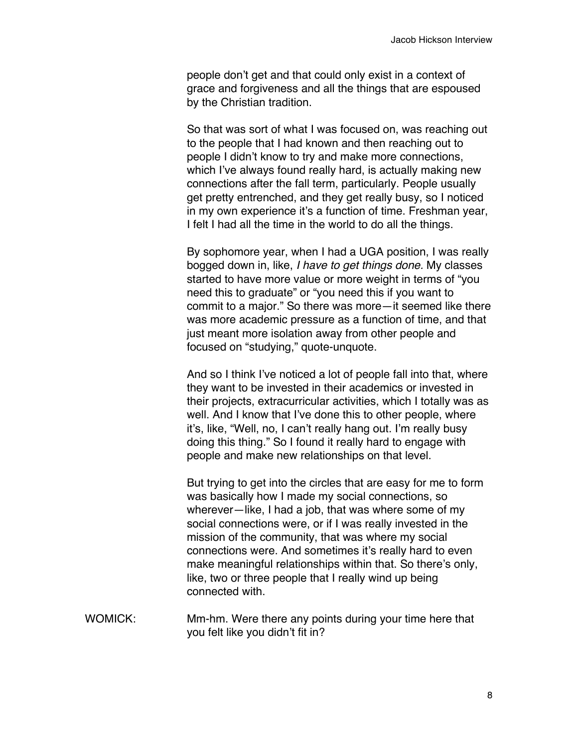people don't get and that could only exist in a context of grace and forgiveness and all the things that are espoused by the Christian tradition.

So that was sort of what I was focused on, was reaching out to the people that I had known and then reaching out to people I didn't know to try and make more connections, which I've always found really hard, is actually making new connections after the fall term, particularly. People usually get pretty entrenched, and they get really busy, so I noticed in my own experience it's a function of time. Freshman year, I felt I had all the time in the world to do all the things.

By sophomore year, when I had a UGA position, I was really bogged down in, like, *I have to get things done.* My classes started to have more value or more weight in terms of "you need this to graduate" or "you need this if you want to commit to a major." So there was more—it seemed like there was more academic pressure as a function of time, and that just meant more isolation away from other people and focused on "studying," quote-unquote.

And so I think I've noticed a lot of people fall into that, where they want to be invested in their academics or invested in their projects, extracurricular activities, which I totally was as well. And I know that I've done this to other people, where it's, like, "Well, no, I can't really hang out. I'm really busy doing this thing." So I found it really hard to engage with people and make new relationships on that level.

But trying to get into the circles that are easy for me to form was basically how I made my social connections, so wherever—like, I had a job, that was where some of my social connections were, or if I was really invested in the mission of the community, that was where my social connections were. And sometimes it's really hard to even make meaningful relationships within that. So there's only, like, two or three people that I really wind up being connected with.

WOMICK: Mm-hm. Were there any points during your time here that you felt like you didn't fit in?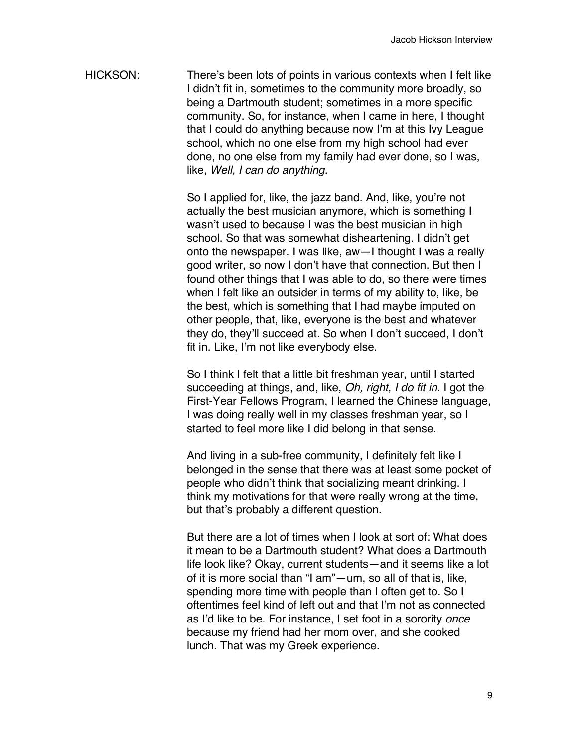HICKSON: There's been lots of points in various contexts when I felt like I didn't fit in, sometimes to the community more broadly, so being a Dartmouth student; sometimes in a more specific community. So, for instance, when I came in here, I thought that I could do anything because now I'm at this Ivy League school, which no one else from my high school had ever done, no one else from my family had ever done, so I was, like, *Well, I can do anything.*

> So I applied for, like, the jazz band. And, like, you're not actually the best musician anymore, which is something I wasn't used to because I was the best musician in high school. So that was somewhat disheartening. I didn't get onto the newspaper. I was like, aw—I thought I was a really good writer, so now I don't have that connection. But then I found other things that I was able to do, so there were times when I felt like an outsider in terms of my ability to, like, be the best, which is something that I had maybe imputed on other people, that, like, everyone is the best and whatever they do, they'll succeed at. So when I don't succeed, I don't fit in. Like, I'm not like everybody else.

So I think I felt that a little bit freshman year, until I started succeeding at things, and, like, *Oh, right, I do fit in.* I got the First-Year Fellows Program, I learned the Chinese language, I was doing really well in my classes freshman year, so I started to feel more like I did belong in that sense.

And living in a sub-free community, I definitely felt like I belonged in the sense that there was at least some pocket of people who didn't think that socializing meant drinking. I think my motivations for that were really wrong at the time, but that's probably a different question.

But there are a lot of times when I look at sort of: What does it mean to be a Dartmouth student? What does a Dartmouth life look like? Okay, current students—and it seems like a lot of it is more social than "I am"—um, so all of that is, like, spending more time with people than I often get to. So I oftentimes feel kind of left out and that I'm not as connected as I'd like to be. For instance, I set foot in a sorority *once* because my friend had her mom over, and she cooked lunch. That was my Greek experience.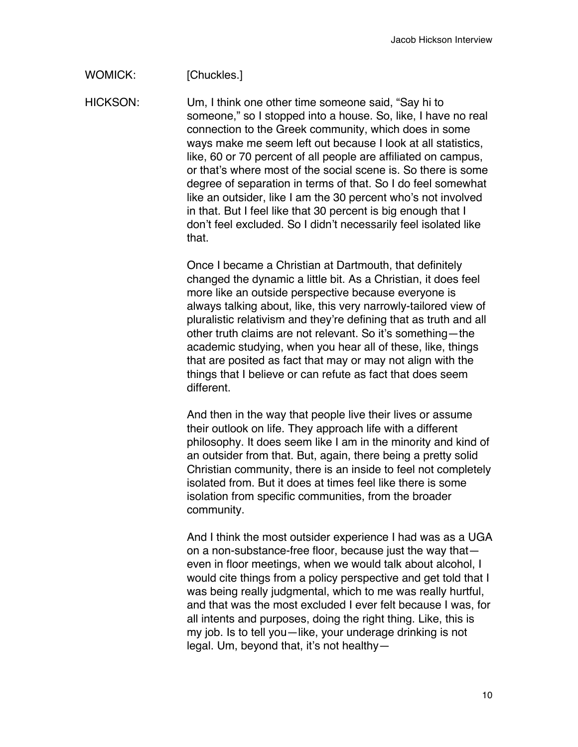WOMICK: [Chuckles.]

HICKSON: Um, I think one other time someone said, "Say hi to someone," so I stopped into a house. So, like, I have no real connection to the Greek community, which does in some ways make me seem left out because I look at all statistics, like, 60 or 70 percent of all people are affiliated on campus, or that's where most of the social scene is. So there is some degree of separation in terms of that. So I do feel somewhat like an outsider, like I am the 30 percent who's not involved in that. But I feel like that 30 percent is big enough that I don't feel excluded. So I didn't necessarily feel isolated like that.

> Once I became a Christian at Dartmouth, that definitely changed the dynamic a little bit. As a Christian, it does feel more like an outside perspective because everyone is always talking about, like, this very narrowly-tailored view of pluralistic relativism and they're defining that as truth and all other truth claims are not relevant. So it's something—the academic studying, when you hear all of these, like, things that are posited as fact that may or may not align with the things that I believe or can refute as fact that does seem different.

And then in the way that people live their lives or assume their outlook on life. They approach life with a different philosophy. It does seem like I am in the minority and kind of an outsider from that. But, again, there being a pretty solid Christian community, there is an inside to feel not completely isolated from. But it does at times feel like there is some isolation from specific communities, from the broader community.

And I think the most outsider experience I had was as a UGA on a non-substance-free floor, because just the way that even in floor meetings, when we would talk about alcohol, I would cite things from a policy perspective and get told that I was being really judgmental, which to me was really hurtful, and that was the most excluded I ever felt because I was, for all intents and purposes, doing the right thing. Like, this is my job. Is to tell you—like, your underage drinking is not legal. Um, beyond that, it's not healthy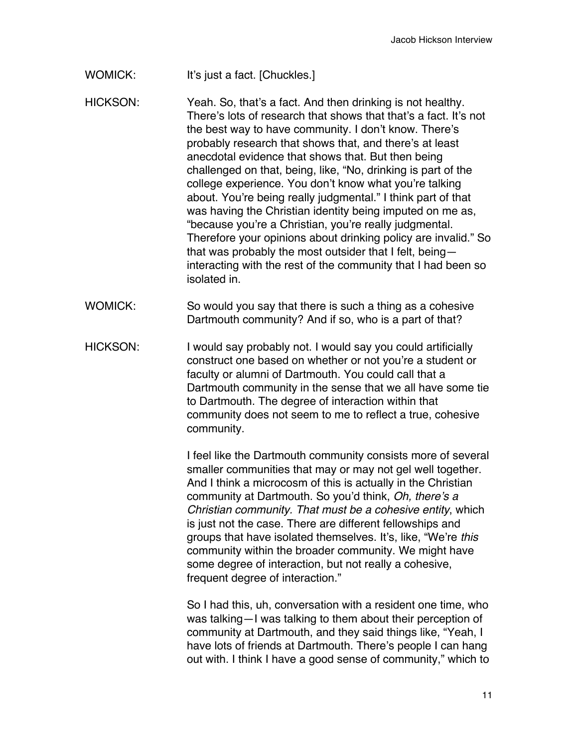WOMICK: It's just a fact. [Chuckles.]

- HICKSON: Yeah. So, that's a fact. And then drinking is not healthy. There's lots of research that shows that that's a fact. It's not the best way to have community. I don't know. There's probably research that shows that, and there's at least anecdotal evidence that shows that. But then being challenged on that, being, like, "No, drinking is part of the college experience. You don't know what you're talking about. You're being really judgmental." I think part of that was having the Christian identity being imputed on me as, "because you're a Christian, you're really judgmental. Therefore your opinions about drinking policy are invalid." So that was probably the most outsider that I felt, being interacting with the rest of the community that I had been so isolated in.
- WOMICK: So would you say that there is such a thing as a cohesive Dartmouth community? And if so, who is a part of that?
- HICKSON: I would say probably not. I would say you could artificially construct one based on whether or not you're a student or faculty or alumni of Dartmouth. You could call that a Dartmouth community in the sense that we all have some tie to Dartmouth. The degree of interaction within that community does not seem to me to reflect a true, cohesive community.

I feel like the Dartmouth community consists more of several smaller communities that may or may not gel well together. And I think a microcosm of this is actually in the Christian community at Dartmouth. So you'd think, *Oh, there's a Christian community. That must be a cohesive entity*, which is just not the case. There are different fellowships and groups that have isolated themselves. It's, like, "We're *this* community within the broader community. We might have some degree of interaction, but not really a cohesive, frequent degree of interaction."

So I had this, uh, conversation with a resident one time, who was talking—I was talking to them about their perception of community at Dartmouth, and they said things like, "Yeah, I have lots of friends at Dartmouth. There's people I can hang out with. I think I have a good sense of community," which to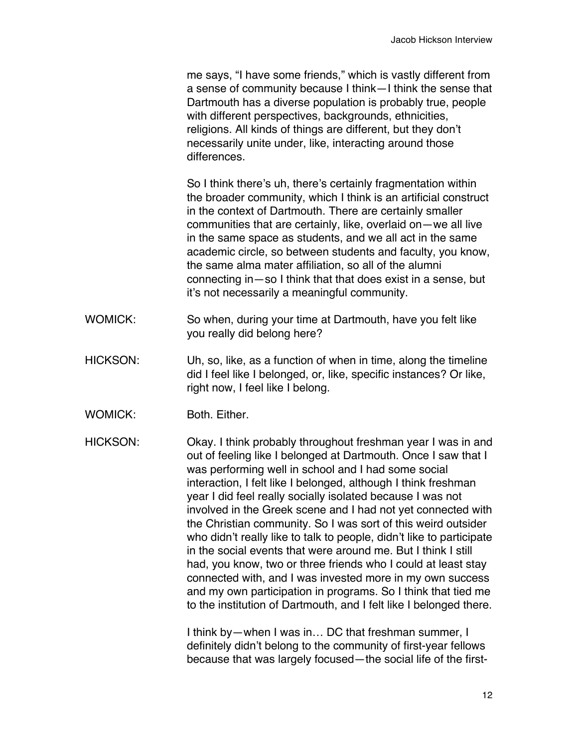me says, "I have some friends," which is vastly different from a sense of community because I think—I think the sense that Dartmouth has a diverse population is probably true, people with different perspectives, backgrounds, ethnicities, religions. All kinds of things are different, but they don't necessarily unite under, like, interacting around those differences.

So I think there's uh, there's certainly fragmentation within the broader community, which I think is an artificial construct in the context of Dartmouth. There are certainly smaller communities that are certainly, like, overlaid on—we all live in the same space as students, and we all act in the same academic circle, so between students and faculty, you know, the same alma mater affiliation, so all of the alumni connecting in—so I think that that does exist in a sense, but it's not necessarily a meaningful community.

- WOMICK: So when, during your time at Dartmouth, have you felt like you really did belong here?
- HICKSON: Uh, so, like, as a function of when in time, along the timeline did I feel like I belonged, or, like, specific instances? Or like, right now, I feel like I belong.
- WOMICK: Both. Either.

HICKSON: Okay. I think probably throughout freshman year I was in and out of feeling like I belonged at Dartmouth. Once I saw that I was performing well in school and I had some social interaction, I felt like I belonged, although I think freshman year I did feel really socially isolated because I was not involved in the Greek scene and I had not yet connected with the Christian community. So I was sort of this weird outsider who didn't really like to talk to people, didn't like to participate in the social events that were around me. But I think I still had, you know, two or three friends who I could at least stay connected with, and I was invested more in my own success and my own participation in programs. So I think that tied me to the institution of Dartmouth, and I felt like I belonged there.

> I think by—when I was in… DC that freshman summer, I definitely didn't belong to the community of first-year fellows because that was largely focused—the social life of the first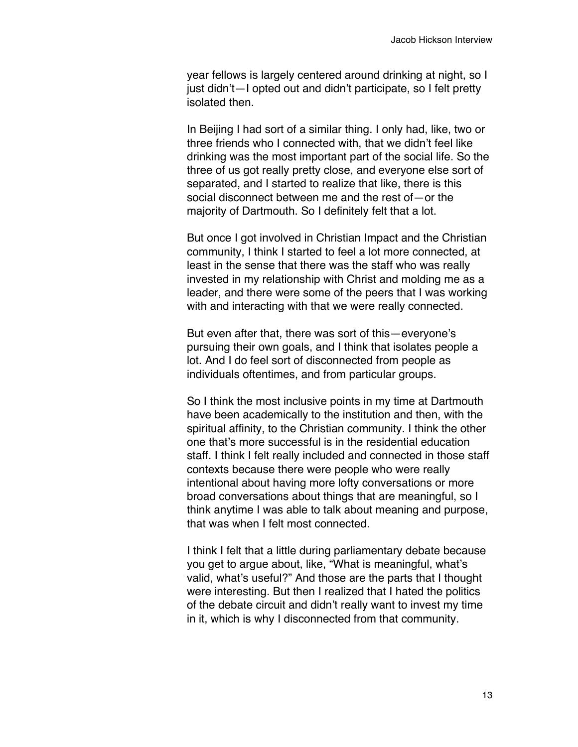year fellows is largely centered around drinking at night, so I just didn't—I opted out and didn't participate, so I felt pretty isolated then.

In Beijing I had sort of a similar thing. I only had, like, two or three friends who I connected with, that we didn't feel like drinking was the most important part of the social life. So the three of us got really pretty close, and everyone else sort of separated, and I started to realize that like, there is this social disconnect between me and the rest of—or the majority of Dartmouth. So I definitely felt that a lot.

But once I got involved in Christian Impact and the Christian community, I think I started to feel a lot more connected, at least in the sense that there was the staff who was really invested in my relationship with Christ and molding me as a leader, and there were some of the peers that I was working with and interacting with that we were really connected.

But even after that, there was sort of this—everyone's pursuing their own goals, and I think that isolates people a lot. And I do feel sort of disconnected from people as individuals oftentimes, and from particular groups.

So I think the most inclusive points in my time at Dartmouth have been academically to the institution and then, with the spiritual affinity, to the Christian community. I think the other one that's more successful is in the residential education staff. I think I felt really included and connected in those staff contexts because there were people who were really intentional about having more lofty conversations or more broad conversations about things that are meaningful, so I think anytime I was able to talk about meaning and purpose, that was when I felt most connected.

I think I felt that a little during parliamentary debate because you get to argue about, like, "What is meaningful, what's valid, what's useful?" And those are the parts that I thought were interesting. But then I realized that I hated the politics of the debate circuit and didn't really want to invest my time in it, which is why I disconnected from that community.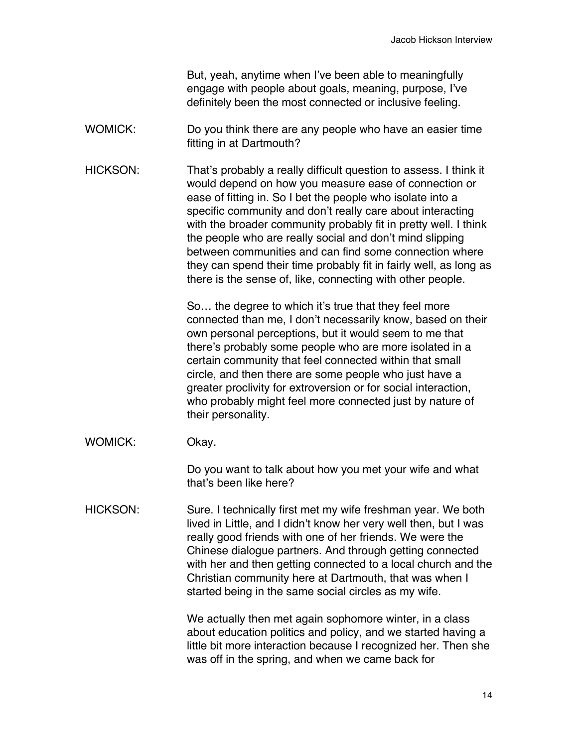But, yeah, anytime when I've been able to meaningfully engage with people about goals, meaning, purpose, I've definitely been the most connected or inclusive feeling.

- WOMICK: Do you think there are any people who have an easier time fitting in at Dartmouth?
- HICKSON: That's probably a really difficult question to assess. I think it would depend on how you measure ease of connection or ease of fitting in. So I bet the people who isolate into a specific community and don't really care about interacting with the broader community probably fit in pretty well. I think the people who are really social and don't mind slipping between communities and can find some connection where they can spend their time probably fit in fairly well, as long as there is the sense of, like, connecting with other people.

So… the degree to which it's true that they feel more connected than me, I don't necessarily know, based on their own personal perceptions, but it would seem to me that there's probably some people who are more isolated in a certain community that feel connected within that small circle, and then there are some people who just have a greater proclivity for extroversion or for social interaction, who probably might feel more connected just by nature of their personality.

WOMICK: Okay.

Do you want to talk about how you met your wife and what that's been like here?

HICKSON: Sure. I technically first met my wife freshman year. We both lived in Little, and I didn't know her very well then, but I was really good friends with one of her friends. We were the Chinese dialogue partners. And through getting connected with her and then getting connected to a local church and the Christian community here at Dartmouth, that was when I started being in the same social circles as my wife.

> We actually then met again sophomore winter, in a class about education politics and policy, and we started having a little bit more interaction because I recognized her. Then she was off in the spring, and when we came back for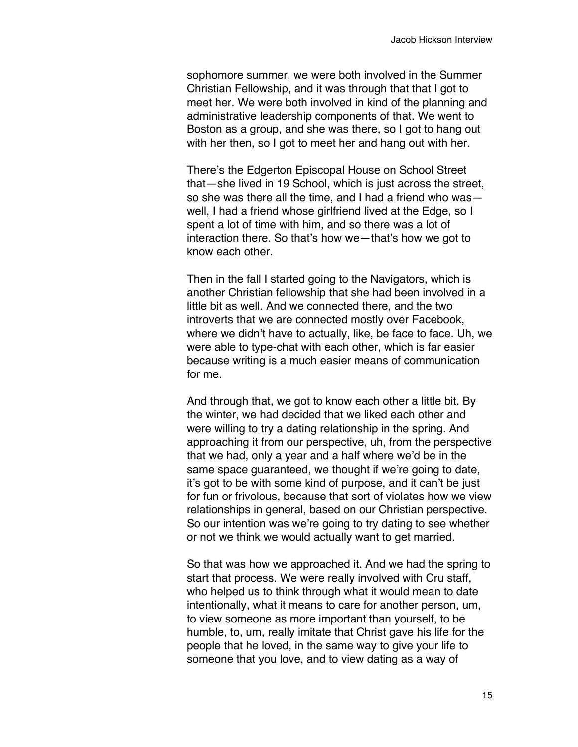sophomore summer, we were both involved in the Summer Christian Fellowship, and it was through that that I got to meet her. We were both involved in kind of the planning and administrative leadership components of that. We went to Boston as a group, and she was there, so I got to hang out with her then, so I got to meet her and hang out with her.

There's the Edgerton Episcopal House on School Street that—she lived in 19 School, which is just across the street, so she was there all the time, and I had a friend who was well, I had a friend whose girlfriend lived at the Edge, so I spent a lot of time with him, and so there was a lot of interaction there. So that's how we—that's how we got to know each other.

Then in the fall I started going to the Navigators, which is another Christian fellowship that she had been involved in a little bit as well. And we connected there, and the two introverts that we are connected mostly over Facebook, where we didn't have to actually, like, be face to face. Uh, we were able to type-chat with each other, which is far easier because writing is a much easier means of communication for me.

And through that, we got to know each other a little bit. By the winter, we had decided that we liked each other and were willing to try a dating relationship in the spring. And approaching it from our perspective, uh, from the perspective that we had, only a year and a half where we'd be in the same space guaranteed, we thought if we're going to date, it's got to be with some kind of purpose, and it can't be just for fun or frivolous, because that sort of violates how we view relationships in general, based on our Christian perspective. So our intention was we're going to try dating to see whether or not we think we would actually want to get married.

So that was how we approached it. And we had the spring to start that process. We were really involved with Cru staff, who helped us to think through what it would mean to date intentionally, what it means to care for another person, um, to view someone as more important than yourself, to be humble, to, um, really imitate that Christ gave his life for the people that he loved, in the same way to give your life to someone that you love, and to view dating as a way of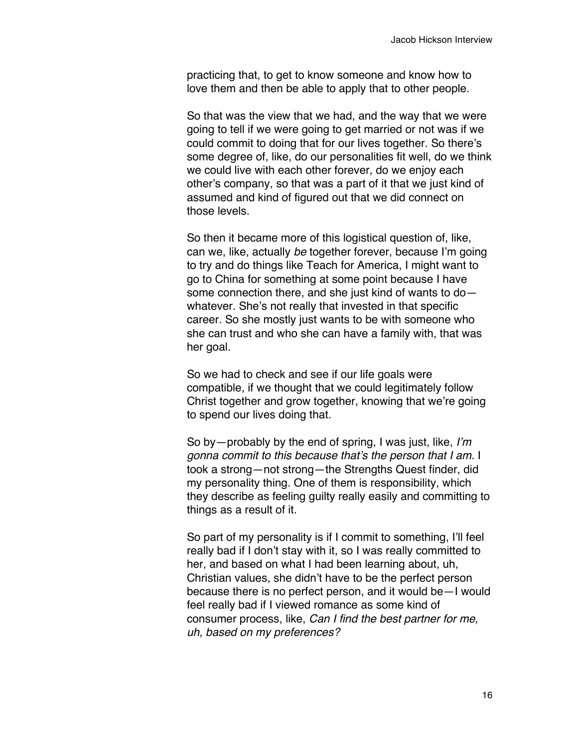practicing that, to get to know someone and know how to love them and then be able to apply that to other people.

So that was the view that we had, and the way that we were going to tell if we were going to get married or not was if we could commit to doing that for our lives together. So there's some degree of, like, do our personalities fit well, do we think we could live with each other forever, do we enjoy each other's company, so that was a part of it that we just kind of assumed and kind of figured out that we did connect on those levels.

So then it became more of this logistical question of, like, can we, like, actually *be* together forever, because I'm going to try and do things like Teach for America, I might want to go to China for something at some point because I have some connection there, and she just kind of wants to do whatever. She's not really that invested in that specific career. So she mostly just wants to be with someone who she can trust and who she can have a family with, that was her goal.

So we had to check and see if our life goals were compatible, if we thought that we could legitimately follow Christ together and grow together, knowing that we're going to spend our lives doing that.

So by—probably by the end of spring, I was just, like, *I'm gonna commit to this because that's the person that I am.* I took a strong—not strong—the Strengths Quest finder, did my personality thing. One of them is responsibility, which they describe as feeling guilty really easily and committing to things as a result of it.

So part of my personality is if I commit to something, I'll feel really bad if I don't stay with it, so I was really committed to her, and based on what I had been learning about, uh, Christian values, she didn't have to be the perfect person because there is no perfect person, and it would be—I would feel really bad if I viewed romance as some kind of consumer process, like, *Can I find the best partner for me, uh, based on my preferences?*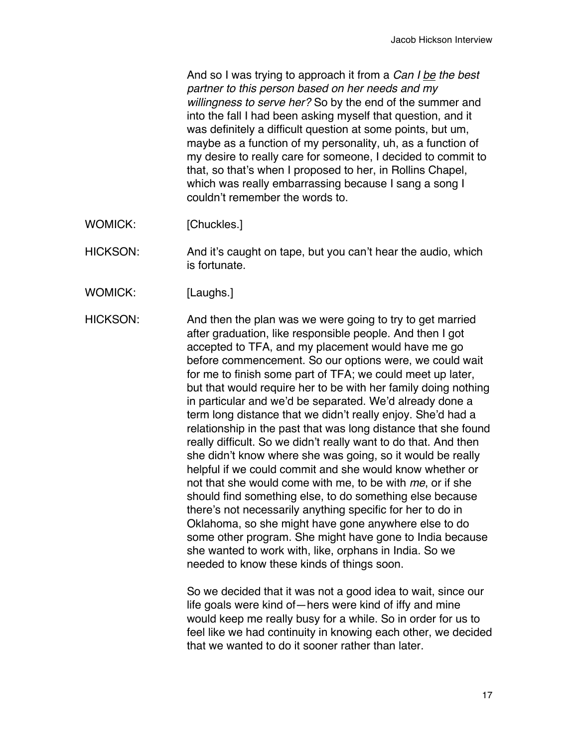And so I was trying to approach it from a *Can I be the best partner to this person based on her needs and my willingness to serve her?* So by the end of the summer and into the fall I had been asking myself that question, and it was definitely a difficult question at some points, but um, maybe as a function of my personality, uh, as a function of my desire to really care for someone, I decided to commit to that, so that's when I proposed to her, in Rollins Chapel, which was really embarrassing because I sang a song I couldn't remember the words to.

WOMICK: [Chuckles.]

HICKSON: And it's caught on tape, but you can't hear the audio, which is fortunate.

WOMICK: [Laughs.]

HICKSON: And then the plan was we were going to try to get married after graduation, like responsible people. And then I got accepted to TFA, and my placement would have me go before commencement. So our options were, we could wait for me to finish some part of TFA; we could meet up later, but that would require her to be with her family doing nothing in particular and we'd be separated. We'd already done a term long distance that we didn't really enjoy. She'd had a relationship in the past that was long distance that she found really difficult. So we didn't really want to do that. And then she didn't know where she was going, so it would be really helpful if we could commit and she would know whether or not that she would come with me, to be with *me*, or if she should find something else, to do something else because there's not necessarily anything specific for her to do in Oklahoma, so she might have gone anywhere else to do some other program. She might have gone to India because she wanted to work with, like, orphans in India. So we needed to know these kinds of things soon.

> So we decided that it was not a good idea to wait, since our life goals were kind of—hers were kind of iffy and mine would keep me really busy for a while. So in order for us to feel like we had continuity in knowing each other, we decided that we wanted to do it sooner rather than later.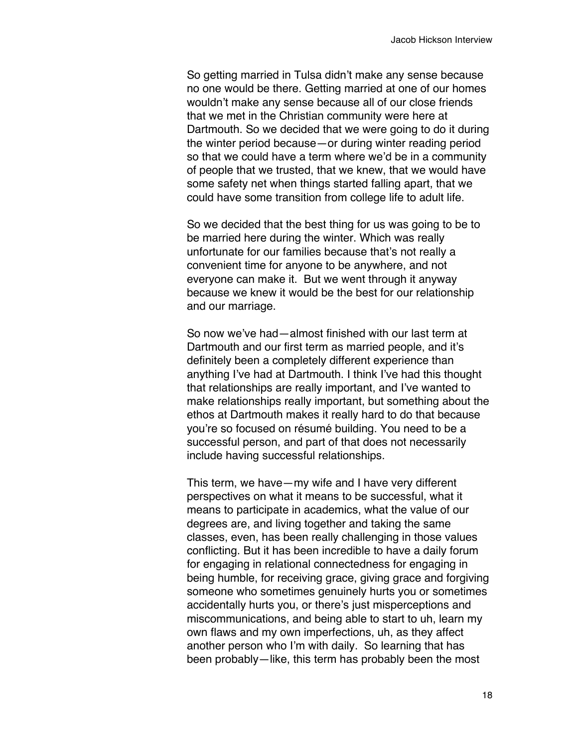So getting married in Tulsa didn't make any sense because no one would be there. Getting married at one of our homes wouldn't make any sense because all of our close friends that we met in the Christian community were here at Dartmouth. So we decided that we were going to do it during the winter period because—or during winter reading period so that we could have a term where we'd be in a community of people that we trusted, that we knew, that we would have some safety net when things started falling apart, that we could have some transition from college life to adult life.

So we decided that the best thing for us was going to be to be married here during the winter. Which was really unfortunate for our families because that's not really a convenient time for anyone to be anywhere, and not everyone can make it. But we went through it anyway because we knew it would be the best for our relationship and our marriage.

So now we've had—almost finished with our last term at Dartmouth and our first term as married people, and it's definitely been a completely different experience than anything I've had at Dartmouth. I think I've had this thought that relationships are really important, and I've wanted to make relationships really important, but something about the ethos at Dartmouth makes it really hard to do that because you're so focused on résumé building. You need to be a successful person, and part of that does not necessarily include having successful relationships.

This term, we have—my wife and I have very different perspectives on what it means to be successful, what it means to participate in academics, what the value of our degrees are, and living together and taking the same classes, even, has been really challenging in those values conflicting. But it has been incredible to have a daily forum for engaging in relational connectedness for engaging in being humble, for receiving grace, giving grace and forgiving someone who sometimes genuinely hurts you or sometimes accidentally hurts you, or there's just misperceptions and miscommunications, and being able to start to uh, learn my own flaws and my own imperfections, uh, as they affect another person who I'm with daily. So learning that has been probably—like, this term has probably been the most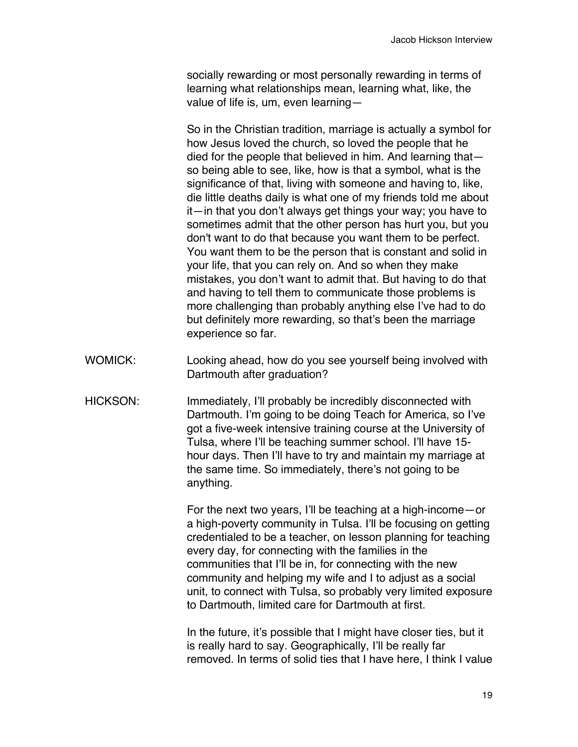socially rewarding or most personally rewarding in terms of learning what relationships mean, learning what, like, the value of life is, um, even learning—

So in the Christian tradition, marriage is actually a symbol for how Jesus loved the church, so loved the people that he died for the people that believed in him. And learning that so being able to see, like, how is that a symbol, what is the significance of that, living with someone and having to, like, die little deaths daily is what one of my friends told me about it—in that you don't always get things your way; you have to sometimes admit that the other person has hurt you, but you don't want to do that because you want them to be perfect. You want them to be the person that is constant and solid in your life, that you can rely on. And so when they make mistakes, you don't want to admit that. But having to do that and having to tell them to communicate those problems is more challenging than probably anything else I've had to do but definitely more rewarding, so that's been the marriage experience so far.

- WOMICK: Looking ahead, how do you see yourself being involved with Dartmouth after graduation?
- HICKSON: Immediately, I'll probably be incredibly disconnected with Dartmouth. I'm going to be doing Teach for America, so I've got a five-week intensive training course at the University of Tulsa, where I'll be teaching summer school. I'll have 15 hour days. Then I'll have to try and maintain my marriage at the same time. So immediately, there's not going to be anything.

For the next two years, I'll be teaching at a high-income—or a high-poverty community in Tulsa. I'll be focusing on getting credentialed to be a teacher, on lesson planning for teaching every day, for connecting with the families in the communities that I'll be in, for connecting with the new community and helping my wife and I to adjust as a social unit, to connect with Tulsa, so probably very limited exposure to Dartmouth, limited care for Dartmouth at first.

In the future, it's possible that I might have closer ties, but it is really hard to say. Geographically, I'll be really far removed. In terms of solid ties that I have here, I think I value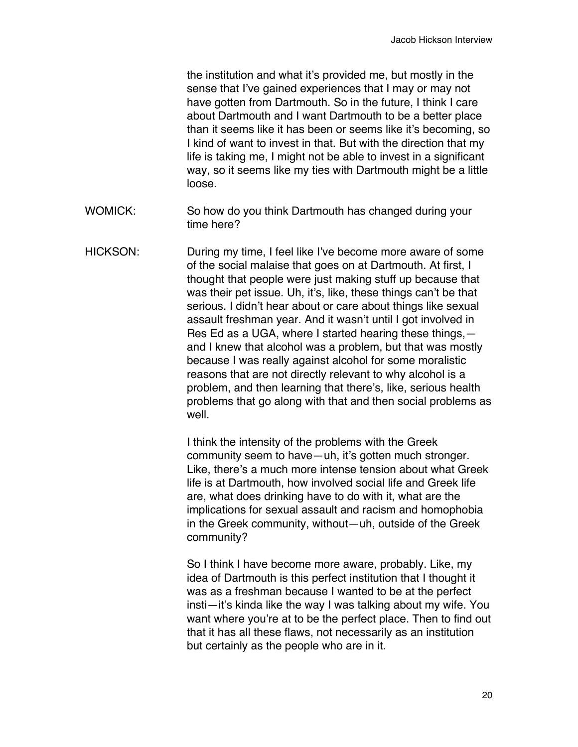the institution and what it's provided me, but mostly in the sense that I've gained experiences that I may or may not have gotten from Dartmouth. So in the future, I think I care about Dartmouth and I want Dartmouth to be a better place than it seems like it has been or seems like it's becoming, so I kind of want to invest in that. But with the direction that my life is taking me, I might not be able to invest in a significant way, so it seems like my ties with Dartmouth might be a little loose.

- WOMICK: So how do you think Dartmouth has changed during your time here?
- HICKSON: During my time, I feel like I've become more aware of some of the social malaise that goes on at Dartmouth. At first, I thought that people were just making stuff up because that was their pet issue. Uh, it's, like, these things can't be that serious. I didn't hear about or care about things like sexual assault freshman year. And it wasn't until I got involved in Res Ed as a UGA, where I started hearing these things, and I knew that alcohol was a problem, but that was mostly because I was really against alcohol for some moralistic reasons that are not directly relevant to why alcohol is a problem, and then learning that there's, like, serious health problems that go along with that and then social problems as well.

I think the intensity of the problems with the Greek community seem to have—uh, it's gotten much stronger. Like, there's a much more intense tension about what Greek life is at Dartmouth, how involved social life and Greek life are, what does drinking have to do with it, what are the implications for sexual assault and racism and homophobia in the Greek community, without—uh, outside of the Greek community?

So I think I have become more aware, probably. Like, my idea of Dartmouth is this perfect institution that I thought it was as a freshman because I wanted to be at the perfect insti—it's kinda like the way I was talking about my wife. You want where you're at to be the perfect place. Then to find out that it has all these flaws, not necessarily as an institution but certainly as the people who are in it.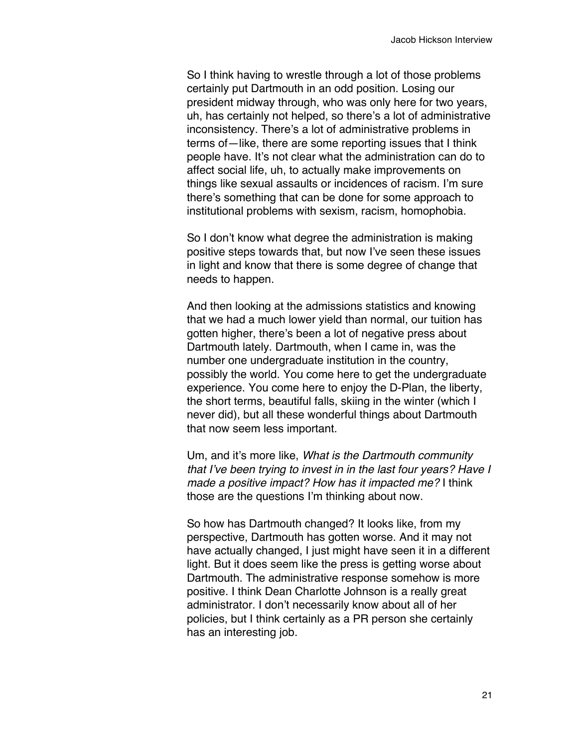So I think having to wrestle through a lot of those problems certainly put Dartmouth in an odd position. Losing our president midway through, who was only here for two years, uh, has certainly not helped, so there's a lot of administrative inconsistency. There's a lot of administrative problems in terms of—like, there are some reporting issues that I think people have. It's not clear what the administration can do to affect social life, uh, to actually make improvements on things like sexual assaults or incidences of racism. I'm sure there's something that can be done for some approach to institutional problems with sexism, racism, homophobia.

So I don't know what degree the administration is making positive steps towards that, but now I've seen these issues in light and know that there is some degree of change that needs to happen.

And then looking at the admissions statistics and knowing that we had a much lower yield than normal, our tuition has gotten higher, there's been a lot of negative press about Dartmouth lately. Dartmouth, when I came in, was the number one undergraduate institution in the country, possibly the world. You come here to get the undergraduate experience. You come here to enjoy the D-Plan, the liberty, the short terms, beautiful falls, skiing in the winter (which I never did), but all these wonderful things about Dartmouth that now seem less important.

Um, and it's more like, *What is the Dartmouth community that I've been trying to invest in in the last four years? Have I made a positive impact? How has it impacted me?* I think those are the questions I'm thinking about now.

So how has Dartmouth changed? It looks like, from my perspective, Dartmouth has gotten worse. And it may not have actually changed, I just might have seen it in a different light. But it does seem like the press is getting worse about Dartmouth. The administrative response somehow is more positive. I think Dean Charlotte Johnson is a really great administrator. I don't necessarily know about all of her policies, but I think certainly as a PR person she certainly has an interesting job.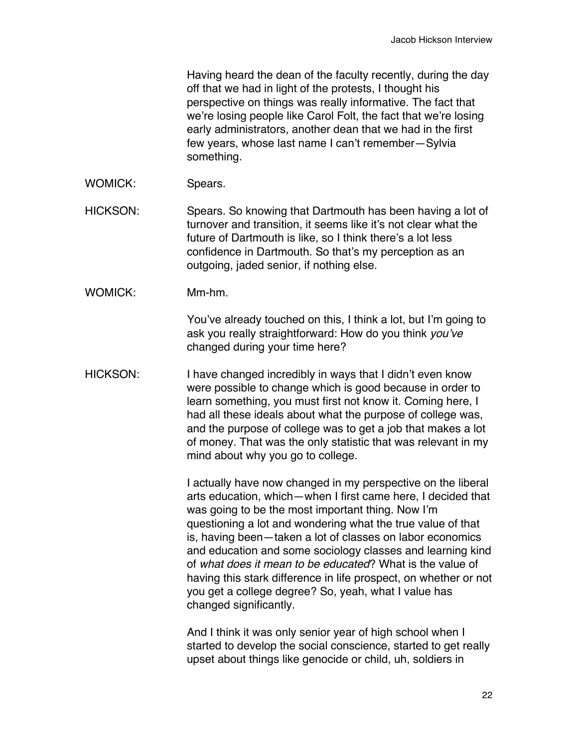Having heard the dean of the faculty recently, during the day off that we had in light of the protests, I thought his perspective on things was really informative. The fact that we're losing people like Carol Folt, the fact that we're losing early administrators, another dean that we had in the first few years, whose last name I can't remember—Sylvia something.

WOMICK: Spears.

HICKSON: Spears. So knowing that Dartmouth has been having a lot of turnover and transition, it seems like it's not clear what the future of Dartmouth is like, so I think there's a lot less confidence in Dartmouth. So that's my perception as an outgoing, jaded senior, if nothing else.

WOMICK: Mm-hm.

You've already touched on this, I think a lot, but I'm going to ask you really straightforward: How do you think *you've* changed during your time here?

HICKSON: I have changed incredibly in ways that I didn't even know were possible to change which is good because in order to learn something, you must first not know it. Coming here, I had all these ideals about what the purpose of college was, and the purpose of college was to get a job that makes a lot of money. That was the only statistic that was relevant in my mind about why you go to college.

> I actually have now changed in my perspective on the liberal arts education, which—when I first came here, I decided that was going to be the most important thing. Now I'm questioning a lot and wondering what the true value of that is, having been—taken a lot of classes on labor economics and education and some sociology classes and learning kind of *what does it mean to be educated*? What is the value of having this stark difference in life prospect, on whether or not you get a college degree? So, yeah, what I value has changed significantly.

> And I think it was only senior year of high school when I started to develop the social conscience, started to get really upset about things like genocide or child, uh, soldiers in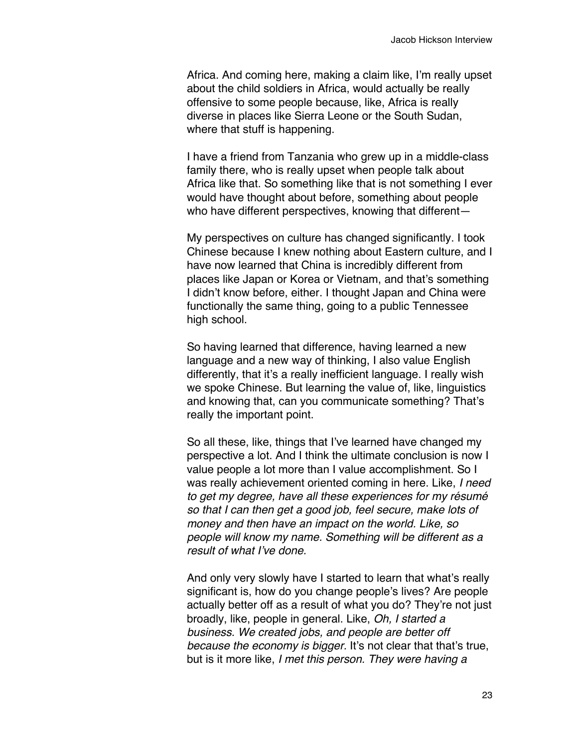Africa. And coming here, making a claim like, I'm really upset about the child soldiers in Africa, would actually be really offensive to some people because, like, Africa is really diverse in places like Sierra Leone or the South Sudan, where that stuff is happening.

I have a friend from Tanzania who grew up in a middle-class family there, who is really upset when people talk about Africa like that. So something like that is not something I ever would have thought about before, something about people who have different perspectives, knowing that different—

My perspectives on culture has changed significantly. I took Chinese because I knew nothing about Eastern culture, and I have now learned that China is incredibly different from places like Japan or Korea or Vietnam, and that's something I didn't know before, either. I thought Japan and China were functionally the same thing, going to a public Tennessee high school.

So having learned that difference, having learned a new language and a new way of thinking, I also value English differently, that it's a really inefficient language. I really wish we spoke Chinese. But learning the value of, like, linguistics and knowing that, can you communicate something? That's really the important point.

So all these, like, things that I've learned have changed my perspective a lot. And I think the ultimate conclusion is now I value people a lot more than I value accomplishment. So I was really achievement oriented coming in here. Like, *I need to get my degree, have all these experiences for my résumé so that I can then get a good job, feel secure, make lots of money and then have an impact on the world. Like, so people will know my name. Something will be different as a result of what I've done.*

And only very slowly have I started to learn that what's really significant is, how do you change people's lives? Are people actually better off as a result of what you do? They're not just broadly, like, people in general. Like, *Oh, I started a business. We created jobs, and people are better off because the economy is bigger.* It's not clear that that's true, but is it more like, *I met this person. They were having a*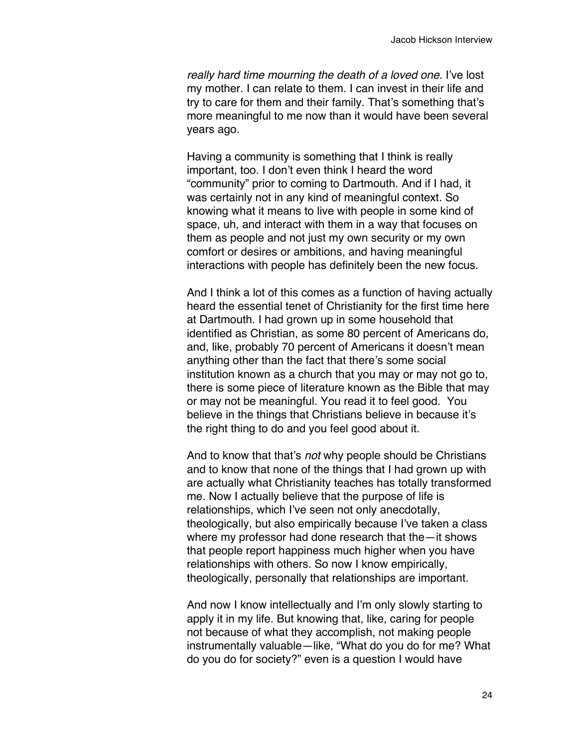*really hard time mourning the death of a loved one.* I've lost my mother. I can relate to them. I can invest in their life and try to care for them and their family. That's something that's more meaningful to me now than it would have been several years ago.

Having a community is something that I think is really important, too. I don't even think I heard the word "community" prior to coming to Dartmouth. And if I had, it was certainly not in any kind of meaningful context. So knowing what it means to live with people in some kind of space, uh, and interact with them in a way that focuses on them as people and not just my own security or my own comfort or desires or ambitions, and having meaningful interactions with people has definitely been the new focus.

And I think a lot of this comes as a function of having actually heard the essential tenet of Christianity for the first time here at Dartmouth. I had grown up in some household that identified as Christian, as some 80 percent of Americans do, and, like, probably 70 percent of Americans it doesn't mean anything other than the fact that there's some social institution known as a church that you may or may not go to, there is some piece of literature known as the Bible that may or may not be meaningful. You read it to feel good. You believe in the things that Christians believe in because it's the right thing to do and you feel good about it.

And to know that that's *not* why people should be Christians and to know that none of the things that I had grown up with are actually what Christianity teaches has totally transformed me. Now I actually believe that the purpose of life is relationships, which I've seen not only anecdotally, theologically, but also empirically because I've taken a class where my professor had done research that the—it shows that people report happiness much higher when you have relationships with others. So now I know empirically, theologically, personally that relationships are important.

And now I know intellectually and I'm only slowly starting to apply it in my life. But knowing that, like, caring for people not because of what they accomplish, not making people instrumentally valuable—like, "What do you do for me? What do you do for society?" even is a question I would have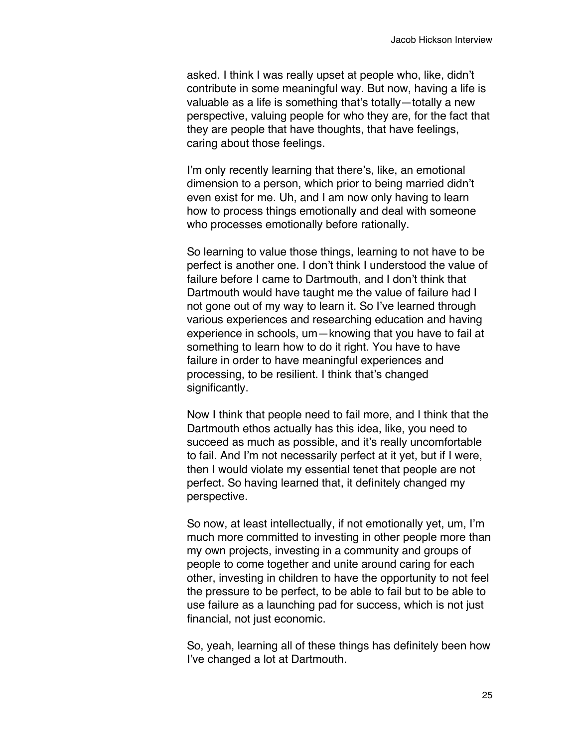asked. I think I was really upset at people who, like, didn't contribute in some meaningful way. But now, having a life is valuable as a life is something that's totally—totally a new perspective, valuing people for who they are, for the fact that they are people that have thoughts, that have feelings, caring about those feelings.

I'm only recently learning that there's, like, an emotional dimension to a person, which prior to being married didn't even exist for me. Uh, and I am now only having to learn how to process things emotionally and deal with someone who processes emotionally before rationally.

So learning to value those things, learning to not have to be perfect is another one. I don't think I understood the value of failure before I came to Dartmouth, and I don't think that Dartmouth would have taught me the value of failure had I not gone out of my way to learn it. So I've learned through various experiences and researching education and having experience in schools, um—knowing that you have to fail at something to learn how to do it right. You have to have failure in order to have meaningful experiences and processing, to be resilient. I think that's changed significantly.

Now I think that people need to fail more, and I think that the Dartmouth ethos actually has this idea, like, you need to succeed as much as possible, and it's really uncomfortable to fail. And I'm not necessarily perfect at it yet, but if I were, then I would violate my essential tenet that people are not perfect. So having learned that, it definitely changed my perspective.

So now, at least intellectually, if not emotionally yet, um, I'm much more committed to investing in other people more than my own projects, investing in a community and groups of people to come together and unite around caring for each other, investing in children to have the opportunity to not feel the pressure to be perfect, to be able to fail but to be able to use failure as a launching pad for success, which is not just financial, not just economic.

So, yeah, learning all of these things has definitely been how I've changed a lot at Dartmouth.